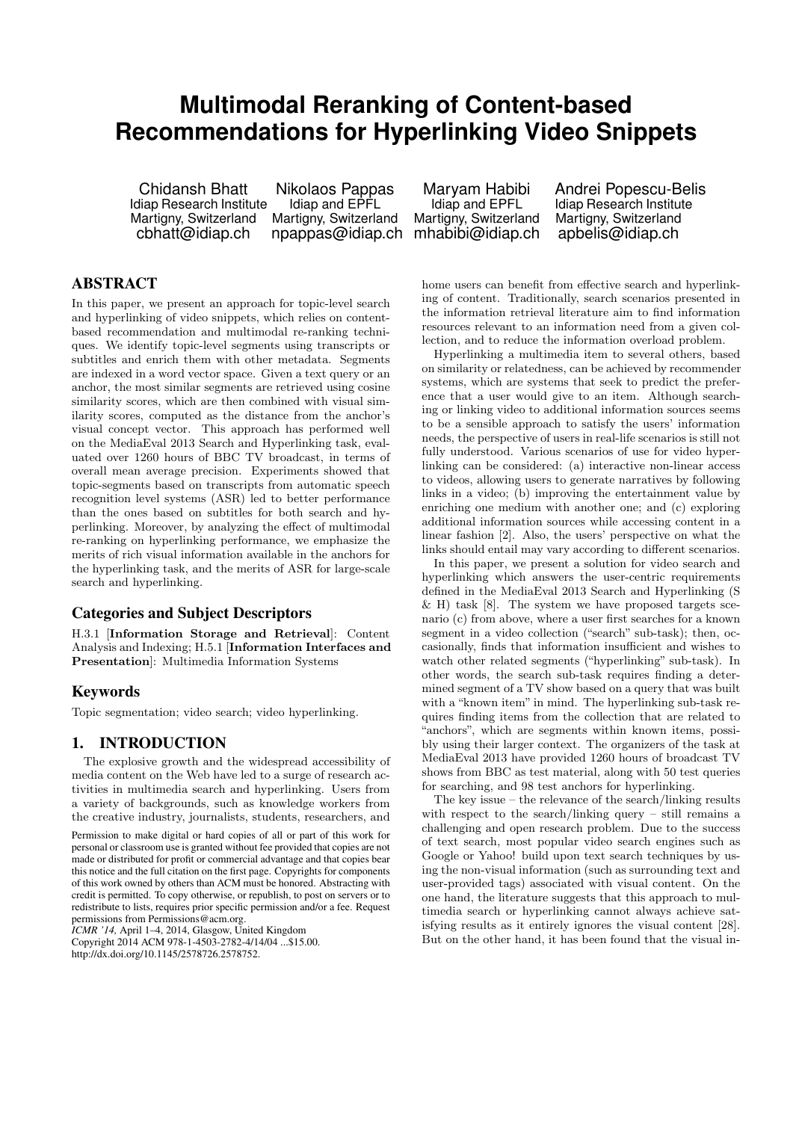# **Multimodal Reranking of Content-based Recommendations for Hyperlinking Video Snippets**

Chidansh Bhatt Idiap Research Institute Martigny, Switzerland cbhatt@idiap.ch

Nikolaos Pappas Idiap and EPFL Martigny, Switzerland npappas@idiap.ch

Maryam Habibi Idiap and EPFL Martigny, Switzerland mhabibi@idiap.ch Andrei Popescu-Belis Idiap Research Institute Martigny, Switzerland apbelis@idiap.ch

# ABSTRACT

In this paper, we present an approach for topic-level search and hyperlinking of video snippets, which relies on contentbased recommendation and multimodal re-ranking techniques. We identify topic-level segments using transcripts or subtitles and enrich them with other metadata. Segments are indexed in a word vector space. Given a text query or an anchor, the most similar segments are retrieved using cosine similarity scores, which are then combined with visual similarity scores, computed as the distance from the anchor's visual concept vector. This approach has performed well on the MediaEval 2013 Search and Hyperlinking task, evaluated over 1260 hours of BBC TV broadcast, in terms of overall mean average precision. Experiments showed that topic-segments based on transcripts from automatic speech recognition level systems (ASR) led to better performance than the ones based on subtitles for both search and hyperlinking. Moreover, by analyzing the effect of multimodal re-ranking on hyperlinking performance, we emphasize the merits of rich visual information available in the anchors for the hyperlinking task, and the merits of ASR for large-scale search and hyperlinking.

## Categories and Subject Descriptors

H.3.1 [Information Storage and Retrieval]: Content Analysis and Indexing; H.5.1 [Information Interfaces and Presentation]: Multimedia Information Systems

# Keywords

Topic segmentation; video search; video hyperlinking.

# 1. INTRODUCTION

The explosive growth and the widespread accessibility of media content on the Web have led to a surge of research activities in multimedia search and hyperlinking. Users from a variety of backgrounds, such as knowledge workers from the creative industry, journalists, students, researchers, and

Permission to make digital or hard copies of all or part of this work for personal or classroom use is granted without fee provided that copies are not made or distributed for profit or commercial advantage and that copies bear this notice and the full citation on the first page. Copyrights for components of this work owned by others than ACM must be honored. Abstracting with credit is permitted. To copy otherwise, or republish, to post on servers or to redistribute to lists, requires prior specific permission and/or a fee. Request permissions from Permissions@acm.org.

*ICMR '14,* April 1–4, 2014, Glasgow, United Kingdom Copyright 2014 ACM 978-1-4503-2782-4/14/04 ...\$15.00. http://dx.doi.org/10.1145/2578726.2578752.

home users can benefit from effective search and hyperlinking of content. Traditionally, search scenarios presented in the information retrieval literature aim to find information resources relevant to an information need from a given collection, and to reduce the information overload problem.

Hyperlinking a multimedia item to several others, based on similarity or relatedness, can be achieved by recommender systems, which are systems that seek to predict the preference that a user would give to an item. Although searching or linking video to additional information sources seems to be a sensible approach to satisfy the users' information needs, the perspective of users in real-life scenarios is still not fully understood. Various scenarios of use for video hyperlinking can be considered: (a) interactive non-linear access to videos, allowing users to generate narratives by following links in a video; (b) improving the entertainment value by enriching one medium with another one; and (c) exploring additional information sources while accessing content in a linear fashion [2]. Also, the users' perspective on what the links should entail may vary according to different scenarios.

In this paper, we present a solution for video search and hyperlinking which answers the user-centric requirements defined in the MediaEval 2013 Search and Hyperlinking (S  $\&$  H) task [8]. The system we have proposed targets scenario (c) from above, where a user first searches for a known segment in a video collection ("search" sub-task); then, occasionally, finds that information insufficient and wishes to watch other related segments ("hyperlinking" sub-task). In other words, the search sub-task requires finding a determined segment of a TV show based on a query that was built with a "known item" in mind. The hyperlinking sub-task requires finding items from the collection that are related to "anchors", which are segments within known items, possibly using their larger context. The organizers of the task at MediaEval 2013 have provided 1260 hours of broadcast TV shows from BBC as test material, along with 50 test queries for searching, and 98 test anchors for hyperlinking.

The key issue – the relevance of the search/linking results with respect to the search/linking query – still remains a challenging and open research problem. Due to the success of text search, most popular video search engines such as Google or Yahoo! build upon text search techniques by using the non-visual information (such as surrounding text and user-provided tags) associated with visual content. On the one hand, the literature suggests that this approach to multimedia search or hyperlinking cannot always achieve satisfying results as it entirely ignores the visual content [28]. But on the other hand, it has been found that the visual in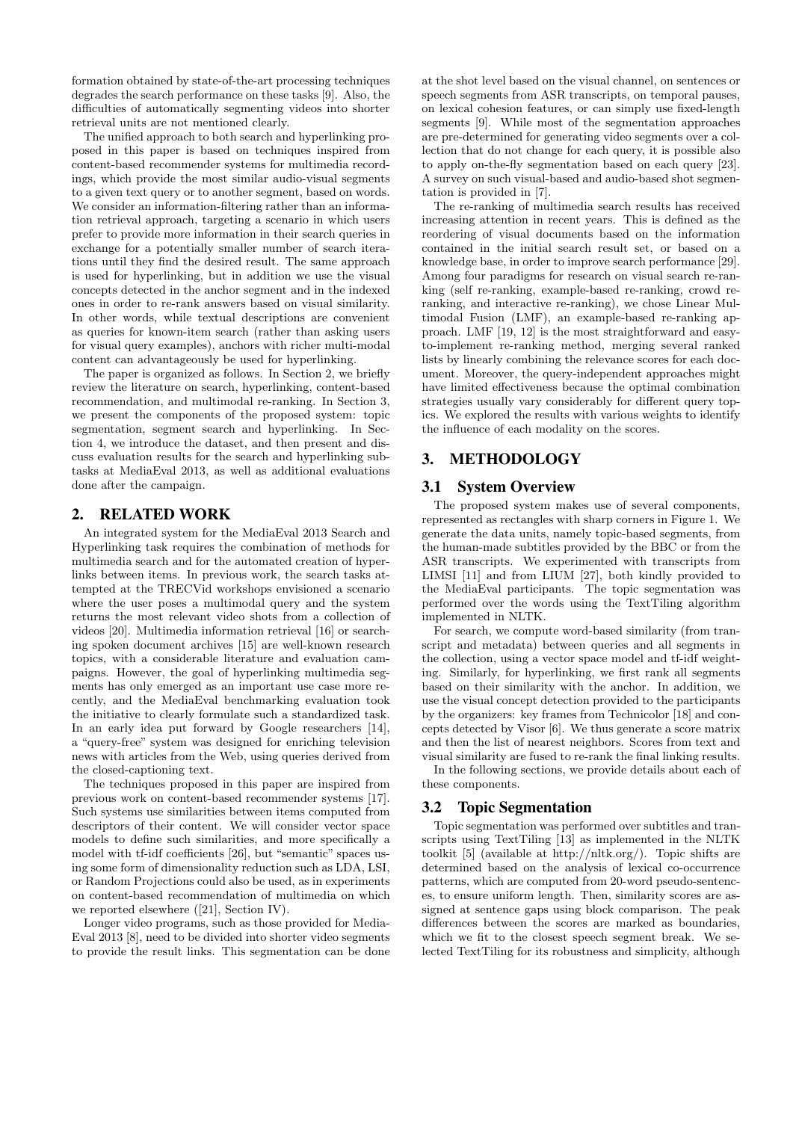formation obtained by state-of-the-art processing techniques degrades the search performance on these tasks [9]. Also, the difficulties of automatically segmenting videos into shorter retrieval units are not mentioned clearly.

The unified approach to both search and hyperlinking proposed in this paper is based on techniques inspired from content-based recommender systems for multimedia recordings, which provide the most similar audio-visual segments to a given text query or to another segment, based on words. We consider an information-filtering rather than an information retrieval approach, targeting a scenario in which users prefer to provide more information in their search queries in exchange for a potentially smaller number of search iterations until they find the desired result. The same approach is used for hyperlinking, but in addition we use the visual concepts detected in the anchor segment and in the indexed ones in order to re-rank answers based on visual similarity. In other words, while textual descriptions are convenient as queries for known-item search (rather than asking users for visual query examples), anchors with richer multi-modal content can advantageously be used for hyperlinking.

The paper is organized as follows. In Section 2, we briefly review the literature on search, hyperlinking, content-based recommendation, and multimodal re-ranking. In Section 3, we present the components of the proposed system: topic segmentation, segment search and hyperlinking. In Section 4, we introduce the dataset, and then present and discuss evaluation results for the search and hyperlinking subtasks at MediaEval 2013, as well as additional evaluations done after the campaign.

## 2. RELATED WORK

An integrated system for the MediaEval 2013 Search and Hyperlinking task requires the combination of methods for multimedia search and for the automated creation of hyperlinks between items. In previous work, the search tasks attempted at the TRECVid workshops envisioned a scenario where the user poses a multimodal query and the system returns the most relevant video shots from a collection of videos [20]. Multimedia information retrieval [16] or searching spoken document archives [15] are well-known research topics, with a considerable literature and evaluation campaigns. However, the goal of hyperlinking multimedia segments has only emerged as an important use case more recently, and the MediaEval benchmarking evaluation took the initiative to clearly formulate such a standardized task. In an early idea put forward by Google researchers [14], a "query-free" system was designed for enriching television news with articles from the Web, using queries derived from the closed-captioning text.

The techniques proposed in this paper are inspired from previous work on content-based recommender systems [17]. Such systems use similarities between items computed from descriptors of their content. We will consider vector space models to define such similarities, and more specifically a model with tf-idf coefficients [26], but "semantic" spaces using some form of dimensionality reduction such as LDA, LSI, or Random Projections could also be used, as in experiments on content-based recommendation of multimedia on which we reported elsewhere ([21], Section IV).

Longer video programs, such as those provided for Media-Eval 2013 [8], need to be divided into shorter video segments to provide the result links. This segmentation can be done

at the shot level based on the visual channel, on sentences or speech segments from ASR transcripts, on temporal pauses, on lexical cohesion features, or can simply use fixed-length segments [9]. While most of the segmentation approaches are pre-determined for generating video segments over a collection that do not change for each query, it is possible also to apply on-the-fly segmentation based on each query [23]. A survey on such visual-based and audio-based shot segmentation is provided in [7].

The re-ranking of multimedia search results has received increasing attention in recent years. This is defined as the reordering of visual documents based on the information contained in the initial search result set, or based on a knowledge base, in order to improve search performance [29]. Among four paradigms for research on visual search re-ranking (self re-ranking, example-based re-ranking, crowd reranking, and interactive re-ranking), we chose Linear Multimodal Fusion (LMF), an example-based re-ranking approach. LMF [19, 12] is the most straightforward and easyto-implement re-ranking method, merging several ranked lists by linearly combining the relevance scores for each document. Moreover, the query-independent approaches might have limited effectiveness because the optimal combination strategies usually vary considerably for different query topics. We explored the results with various weights to identify the influence of each modality on the scores.

# 3. METHODOLOGY

## 3.1 System Overview

The proposed system makes use of several components, represented as rectangles with sharp corners in Figure 1. We generate the data units, namely topic-based segments, from the human-made subtitles provided by the BBC or from the ASR transcripts. We experimented with transcripts from LIMSI [11] and from LIUM [27], both kindly provided to the MediaEval participants. The topic segmentation was performed over the words using the TextTiling algorithm implemented in NLTK.

For search, we compute word-based similarity (from transcript and metadata) between queries and all segments in the collection, using a vector space model and tf-idf weighting. Similarly, for hyperlinking, we first rank all segments based on their similarity with the anchor. In addition, we use the visual concept detection provided to the participants by the organizers: key frames from Technicolor [18] and concepts detected by Visor [6]. We thus generate a score matrix and then the list of nearest neighbors. Scores from text and visual similarity are fused to re-rank the final linking results.

In the following sections, we provide details about each of these components.

# 3.2 Topic Segmentation

Topic segmentation was performed over subtitles and transcripts using TextTiling [13] as implemented in the NLTK toolkit [5] (available at http://nltk.org/). Topic shifts are determined based on the analysis of lexical co-occurrence patterns, which are computed from 20-word pseudo-sentences, to ensure uniform length. Then, similarity scores are assigned at sentence gaps using block comparison. The peak differences between the scores are marked as boundaries, which we fit to the closest speech segment break. We selected TextTiling for its robustness and simplicity, although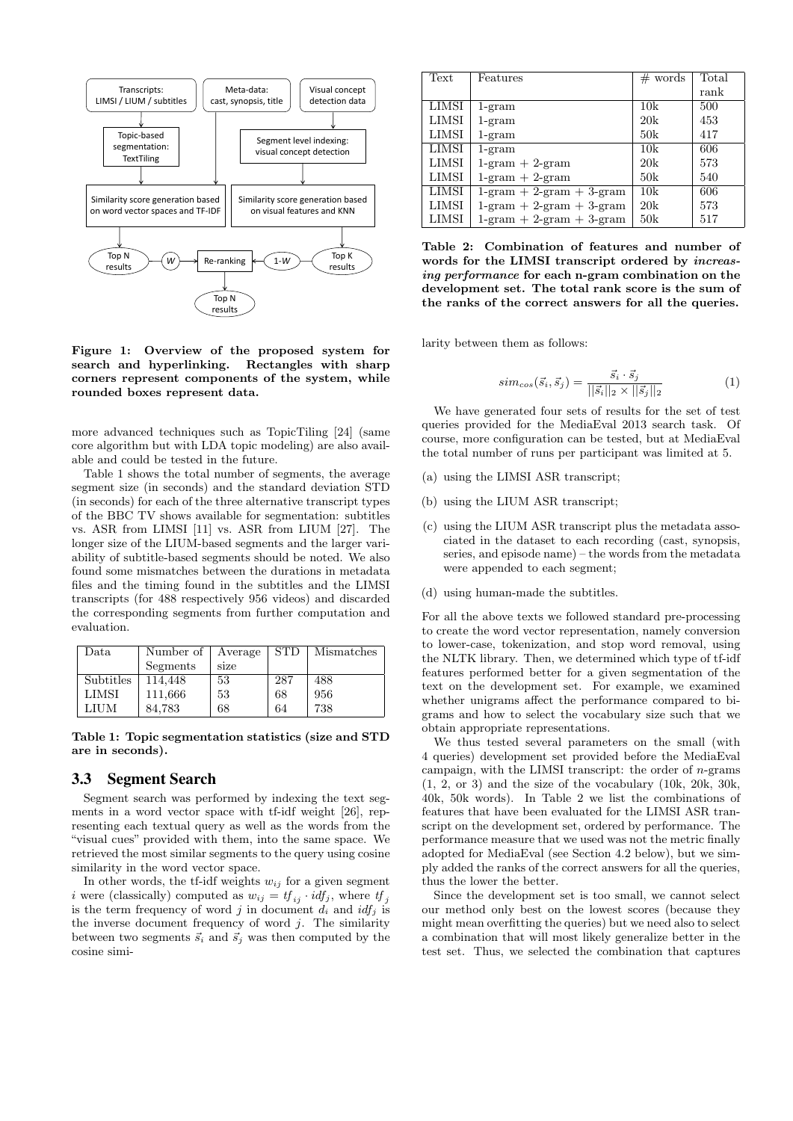

Figure 1: Overview of the proposed system for search and hyperlinking. Rectangles with sharp corners represent components of the system, while rounded boxes represent data.

more advanced techniques such as TopicTiling [24] (same core algorithm but with LDA topic modeling) are also available and could be tested in the future.

Table 1 shows the total number of segments, the average segment size (in seconds) and the standard deviation STD (in seconds) for each of the three alternative transcript types of the BBC TV shows available for segmentation: subtitles vs. ASR from LIMSI [11] vs. ASR from LIUM [27]. The longer size of the LIUM-based segments and the larger variability of subtitle-based segments should be noted. We also found some mismatches between the durations in metadata files and the timing found in the subtitles and the LIMSI transcripts (for 488 respectively 956 videos) and discarded the corresponding segments from further computation and evaluation.

| Data         | Number of | Average | <b>STD</b> | Mismatches |
|--------------|-----------|---------|------------|------------|
|              | Segments  | size    |            |            |
| Subtitles    | 114.448   | 53      | 287        | 488        |
| <b>LIMSI</b> | 111,666   | 53      | 68         | 956        |
| LIUM         | 84.783    | 68      | 64         | 738        |

Table 1: Topic segmentation statistics (size and STD are in seconds).

#### 3.3 Segment Search

Segment search was performed by indexing the text segments in a word vector space with tf-idf weight [26], representing each textual query as well as the words from the "visual cues" provided with them, into the same space. We retrieved the most similar segments to the query using cosine similarity in the word vector space.

In other words, the tf-idf weights  $w_{ij}$  for a given segment i were (classically) computed as  $w_{ij} = tf_{ij} \cdot idf_j$ , where  $tf_j$ is the term frequency of word j in document  $d_i$  and  $idf_j$  is the inverse document frequency of word  $j$ . The similarity between two segments  $\vec{s}_i$  and  $\vec{s}_j$  was then computed by the cosine simi-

| Text         | Features                          | $#$ words | Total |
|--------------|-----------------------------------|-----------|-------|
|              |                                   |           | rank  |
| LIMSI        | $1$ -gram                         | 10k       | 500   |
| <b>LIMSI</b> | $1$ -gram                         | 20k       | 453   |
| <b>LIMSI</b> | $1-gram$                          | 50k       | 417   |
| LIMSI        | $1$ -gram                         | 10k       | 606   |
| LIMSI        | $1$ -gram $+2$ -gram              | 20k       | 573   |
| <b>LIMSI</b> | $1$ -gram $+2$ -gram              | 50k       | 540   |
| <b>LIMSI</b> | $1$ -gram + $2$ -gram + $3$ -gram | 10k       | 606   |
| <b>LIMSI</b> | $1$ -gram + 2-gram + 3-gram       | 20k       | 573   |
| <b>LIMSI</b> | $1$ -gram + 2-gram + 3-gram       | 50k       | 517   |

Table 2: Combination of features and number of words for the LIMSI transcript ordered by increasing performance for each n-gram combination on the development set. The total rank score is the sum of the ranks of the correct answers for all the queries.

larity between them as follows:

$$
sim_{cos}(\vec{s}_i, \vec{s}_j) = \frac{\vec{s}_i \cdot \vec{s}_j}{||\vec{s}_i||_2 \times ||\vec{s}_j||_2}
$$
(1)

We have generated four sets of results for the set of test queries provided for the MediaEval 2013 search task. Of course, more configuration can be tested, but at MediaEval the total number of runs per participant was limited at 5.

- (a) using the LIMSI ASR transcript;
- (b) using the LIUM ASR transcript;
- (c) using the LIUM ASR transcript plus the metadata associated in the dataset to each recording (cast, synopsis, series, and episode name) – the words from the metadata were appended to each segment;
- (d) using human-made the subtitles.

For all the above texts we followed standard pre-processing to create the word vector representation, namely conversion to lower-case, tokenization, and stop word removal, using the NLTK library. Then, we determined which type of tf-idf features performed better for a given segmentation of the text on the development set. For example, we examined whether unigrams affect the performance compared to bigrams and how to select the vocabulary size such that we obtain appropriate representations.

We thus tested several parameters on the small (with 4 queries) development set provided before the MediaEval campaign, with the LIMSI transcript: the order of  $n$ -grams (1, 2, or 3) and the size of the vocabulary (10k, 20k, 30k, 40k, 50k words). In Table 2 we list the combinations of features that have been evaluated for the LIMSI ASR transcript on the development set, ordered by performance. The performance measure that we used was not the metric finally adopted for MediaEval (see Section 4.2 below), but we simply added the ranks of the correct answers for all the queries, thus the lower the better.

Since the development set is too small, we cannot select our method only best on the lowest scores (because they might mean overfitting the queries) but we need also to select a combination that will most likely generalize better in the test set. Thus, we selected the combination that captures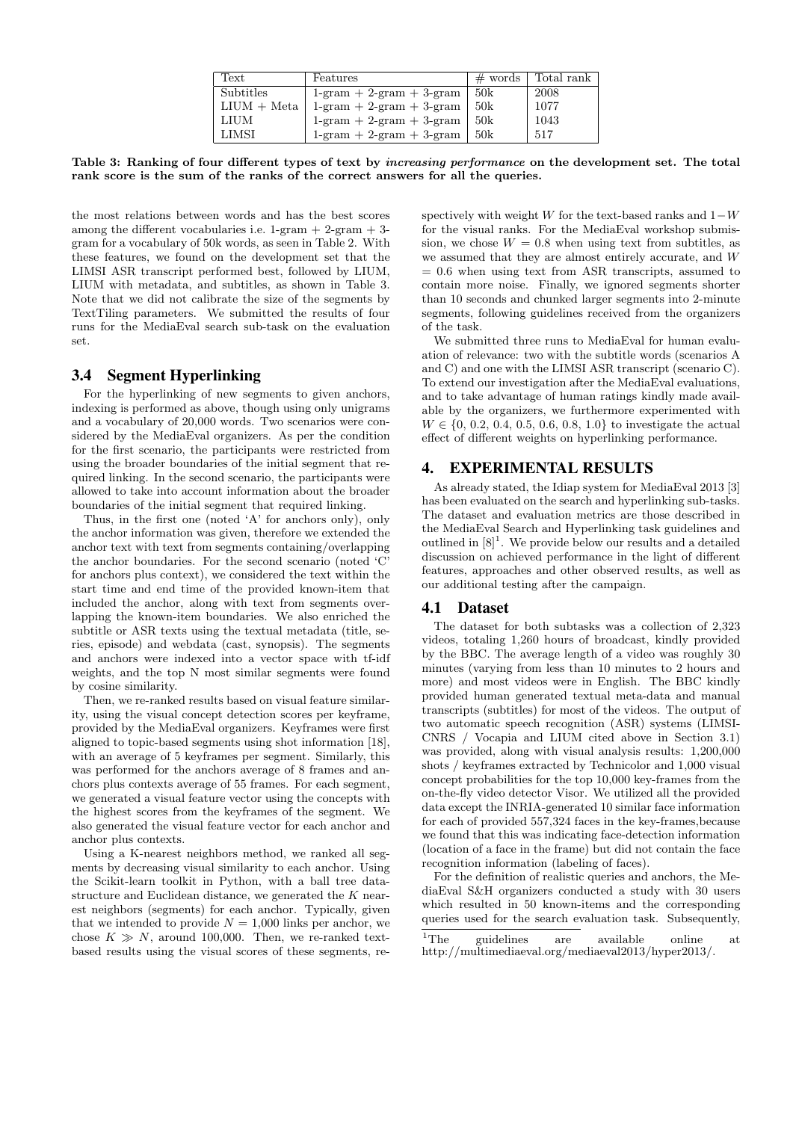| Text          | Features                          | $\#$ words | Total rank |
|---------------|-----------------------------------|------------|------------|
| Subtitles     | $1$ -gram + 2-gram + 3-gram       | 50k        | 2008       |
| $LIUM + Meta$ | $1$ -gram + $2$ -gram + $3$ -gram | -50k       | 1077       |
| LIUM          | $1$ -gram + 2-gram + 3-gram       | 50k        | 1043       |
| LIMSI         | $1$ -gram + 2-gram + 3-gram       | 50k        | 517        |

Table 3: Ranking of four different types of text by increasing performance on the development set. The total rank score is the sum of the ranks of the correct answers for all the queries.

the most relations between words and has the best scores among the different vocabularies i.e. 1-gram + 2-gram + 3 gram for a vocabulary of 50k words, as seen in Table 2. With these features, we found on the development set that the LIMSI ASR transcript performed best, followed by LIUM, LIUM with metadata, and subtitles, as shown in Table 3. Note that we did not calibrate the size of the segments by TextTiling parameters. We submitted the results of four runs for the MediaEval search sub-task on the evaluation set.

#### 3.4 Segment Hyperlinking

For the hyperlinking of new segments to given anchors, indexing is performed as above, though using only unigrams and a vocabulary of 20,000 words. Two scenarios were considered by the MediaEval organizers. As per the condition for the first scenario, the participants were restricted from using the broader boundaries of the initial segment that required linking. In the second scenario, the participants were allowed to take into account information about the broader boundaries of the initial segment that required linking.

Thus, in the first one (noted 'A' for anchors only), only the anchor information was given, therefore we extended the anchor text with text from segments containing/overlapping the anchor boundaries. For the second scenario (noted 'C' for anchors plus context), we considered the text within the start time and end time of the provided known-item that included the anchor, along with text from segments overlapping the known-item boundaries. We also enriched the subtitle or ASR texts using the textual metadata (title, series, episode) and webdata (cast, synopsis). The segments and anchors were indexed into a vector space with tf-idf weights, and the top N most similar segments were found by cosine similarity.

Then, we re-ranked results based on visual feature similarity, using the visual concept detection scores per keyframe, provided by the MediaEval organizers. Keyframes were first aligned to topic-based segments using shot information [18], with an average of 5 keyframes per segment. Similarly, this was performed for the anchors average of 8 frames and anchors plus contexts average of 55 frames. For each segment, we generated a visual feature vector using the concepts with the highest scores from the keyframes of the segment. We also generated the visual feature vector for each anchor and anchor plus contexts.

Using a K-nearest neighbors method, we ranked all segments by decreasing visual similarity to each anchor. Using the Scikit-learn toolkit in Python, with a ball tree datastructure and Euclidean distance, we generated the K nearest neighbors (segments) for each anchor. Typically, given that we intended to provide  $N = 1,000$  links per anchor, we chose  $K \gg N$ , around 100,000. Then, we re-ranked textbased results using the visual scores of these segments, re-

spectively with weight W for the text-based ranks and  $1-W$ for the visual ranks. For the MediaEval workshop submission, we chose  $W = 0.8$  when using text from subtitles, as we assumed that they are almost entirely accurate, and W  $= 0.6$  when using text from ASR transcripts, assumed to contain more noise. Finally, we ignored segments shorter than 10 seconds and chunked larger segments into 2-minute segments, following guidelines received from the organizers of the task.

We submitted three runs to MediaEval for human evaluation of relevance: two with the subtitle words (scenarios A and C) and one with the LIMSI ASR transcript (scenario C). To extend our investigation after the MediaEval evaluations, and to take advantage of human ratings kindly made available by the organizers, we furthermore experimented with  $W \in \{0, 0.2, 0.4, 0.5, 0.6, 0.8, 1.0\}$  to investigate the actual effect of different weights on hyperlinking performance.

## 4. EXPERIMENTAL RESULTS

As already stated, the Idiap system for MediaEval 2013 [3] has been evaluated on the search and hyperlinking sub-tasks. The dataset and evaluation metrics are those described in the MediaEval Search and Hyperlinking task guidelines and outlined in  $[8]^1$ . We provide below our results and a detailed discussion on achieved performance in the light of different features, approaches and other observed results, as well as our additional testing after the campaign.

#### 4.1 Dataset

The dataset for both subtasks was a collection of 2,323 videos, totaling 1,260 hours of broadcast, kindly provided by the BBC. The average length of a video was roughly 30 minutes (varying from less than 10 minutes to 2 hours and more) and most videos were in English. The BBC kindly provided human generated textual meta-data and manual transcripts (subtitles) for most of the videos. The output of two automatic speech recognition (ASR) systems (LIMSI-CNRS / Vocapia and LIUM cited above in Section 3.1) was provided, along with visual analysis results: 1,200,000 shots / keyframes extracted by Technicolor and 1,000 visual concept probabilities for the top 10,000 key-frames from the on-the-fly video detector Visor. We utilized all the provided data except the INRIA-generated 10 similar face information for each of provided 557,324 faces in the key-frames,because we found that this was indicating face-detection information (location of a face in the frame) but did not contain the face recognition information (labeling of faces).

For the definition of realistic queries and anchors, the MediaEval S&H organizers conducted a study with 30 users which resulted in 50 known-items and the corresponding queries used for the search evaluation task. Subsequently,

<sup>1</sup>The guidelines are available online at http://multimediaeval.org/mediaeval2013/hyper2013/.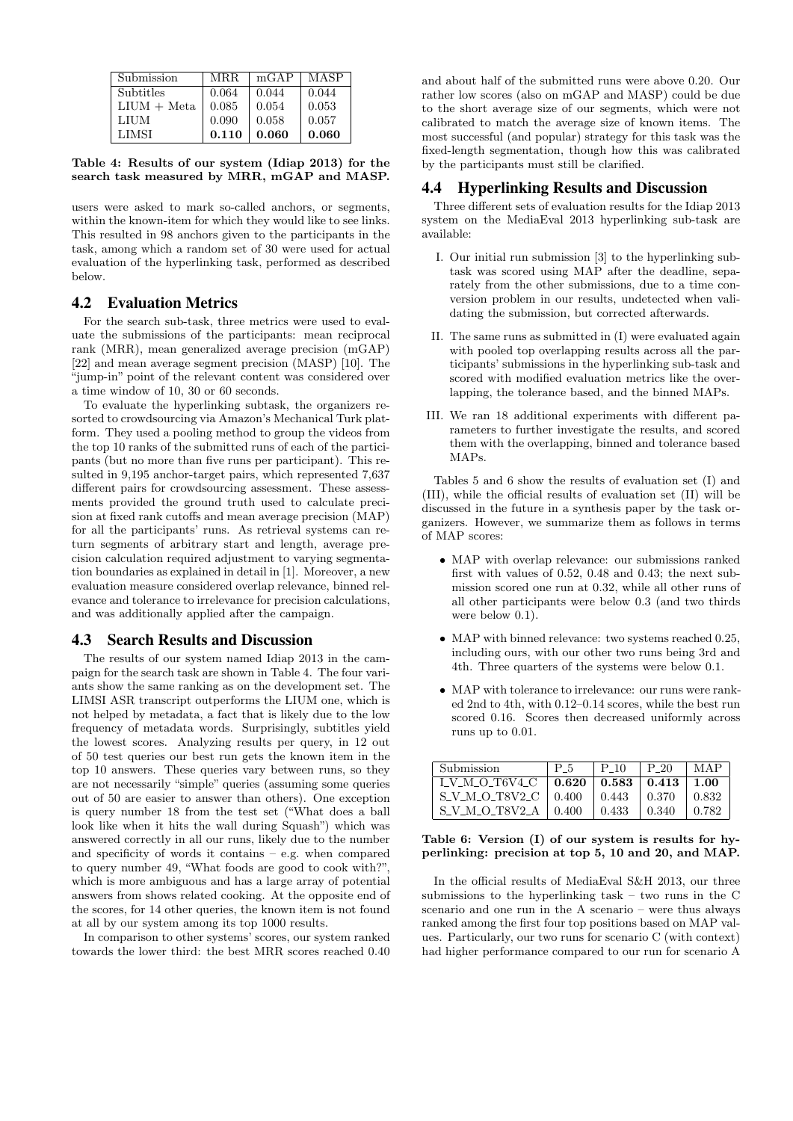| Submission    | MRR.  | mGAP  | MASP  |
|---------------|-------|-------|-------|
| Subtitles     | 0.064 | 0.044 | 0.044 |
| $LIUM + Meta$ | 0.085 | 0.054 | 0.053 |
| LIUM          | 0.090 | 0.058 | 0.057 |
| LIMSI         | 0.110 | 0.060 | 0.060 |

Table 4: Results of our system (Idiap 2013) for the search task measured by MRR, mGAP and MASP.

users were asked to mark so-called anchors, or segments, within the known-item for which they would like to see links. This resulted in 98 anchors given to the participants in the task, among which a random set of 30 were used for actual evaluation of the hyperlinking task, performed as described below.

#### 4.2 Evaluation Metrics

For the search sub-task, three metrics were used to evaluate the submissions of the participants: mean reciprocal rank (MRR), mean generalized average precision (mGAP) [22] and mean average segment precision (MASP) [10]. The "jump-in" point of the relevant content was considered over a time window of 10, 30 or 60 seconds.

To evaluate the hyperlinking subtask, the organizers resorted to crowdsourcing via Amazon's Mechanical Turk platform. They used a pooling method to group the videos from the top 10 ranks of the submitted runs of each of the participants (but no more than five runs per participant). This resulted in 9,195 anchor-target pairs, which represented 7,637 different pairs for crowdsourcing assessment. These assessments provided the ground truth used to calculate precision at fixed rank cutoffs and mean average precision (MAP) for all the participants' runs. As retrieval systems can return segments of arbitrary start and length, average precision calculation required adjustment to varying segmentation boundaries as explained in detail in [1]. Moreover, a new evaluation measure considered overlap relevance, binned relevance and tolerance to irrelevance for precision calculations, and was additionally applied after the campaign.

#### 4.3 Search Results and Discussion

The results of our system named Idiap 2013 in the campaign for the search task are shown in Table 4. The four variants show the same ranking as on the development set. The LIMSI ASR transcript outperforms the LIUM one, which is not helped by metadata, a fact that is likely due to the low frequency of metadata words. Surprisingly, subtitles yield the lowest scores. Analyzing results per query, in 12 out of 50 test queries our best run gets the known item in the top 10 answers. These queries vary between runs, so they are not necessarily "simple" queries (assuming some queries out of 50 are easier to answer than others). One exception is query number 18 from the test set ("What does a ball look like when it hits the wall during Squash") which was answered correctly in all our runs, likely due to the number and specificity of words it contains – e.g. when compared to query number 49, "What foods are good to cook with?" which is more ambiguous and has a large array of potential answers from shows related cooking. At the opposite end of the scores, for 14 other queries, the known item is not found at all by our system among its top 1000 results.

In comparison to other systems' scores, our system ranked towards the lower third: the best MRR scores reached 0.40

and about half of the submitted runs were above 0.20. Our rather low scores (also on mGAP and MASP) could be due to the short average size of our segments, which were not calibrated to match the average size of known items. The most successful (and popular) strategy for this task was the fixed-length segmentation, though how this was calibrated by the participants must still be clarified.

## 4.4 Hyperlinking Results and Discussion

Three different sets of evaluation results for the Idiap 2013 system on the MediaEval 2013 hyperlinking sub-task are available:

- I. Our initial run submission [3] to the hyperlinking subtask was scored using MAP after the deadline, separately from the other submissions, due to a time conversion problem in our results, undetected when validating the submission, but corrected afterwards.
- II. The same runs as submitted in (I) were evaluated again with pooled top overlapping results across all the participants' submissions in the hyperlinking sub-task and scored with modified evaluation metrics like the overlapping, the tolerance based, and the binned MAPs.
- III. We ran 18 additional experiments with different parameters to further investigate the results, and scored them with the overlapping, binned and tolerance based MAPs.

Tables 5 and 6 show the results of evaluation set (I) and (III), while the official results of evaluation set (II) will be discussed in the future in a synthesis paper by the task organizers. However, we summarize them as follows in terms of MAP scores:

- MAP with overlap relevance: our submissions ranked first with values of 0.52, 0.48 and 0.43; the next submission scored one run at 0.32, while all other runs of all other participants were below 0.3 (and two thirds were below  $0.1$ ).
- MAP with binned relevance: two systems reached 0.25, including ours, with our other two runs being 3rd and 4th. Three quarters of the systems were below 0.1.
- MAP with tolerance to irrelevance: our runs were ranked 2nd to 4th, with 0.12–0.14 scores, while the best run scored 0.16. Scores then decreased uniformly across runs up to 0.01.

| Submission               |       | P 10                                 | P 20  |       |
|--------------------------|-------|--------------------------------------|-------|-------|
| LV_M_O_T6V4_C            |       | $0.620 \pm 0.583 \pm 0.413 \pm 1.00$ |       |       |
| S_V_M_O_T8V2_C           | 0.400 | 0.443                                | 0.370 | 0.832 |
| $S_V M_O_T8V2_A + 0.400$ |       | 0.433                                | 0.340 | 0.782 |

#### Table 6: Version (I) of our system is results for hyperlinking: precision at top 5, 10 and 20, and MAP.

In the official results of MediaEval S&H 2013, our three submissions to the hyperlinking task – two runs in the C scenario and one run in the A scenario – were thus always ranked among the first four top positions based on MAP values. Particularly, our two runs for scenario C (with context) had higher performance compared to our run for scenario A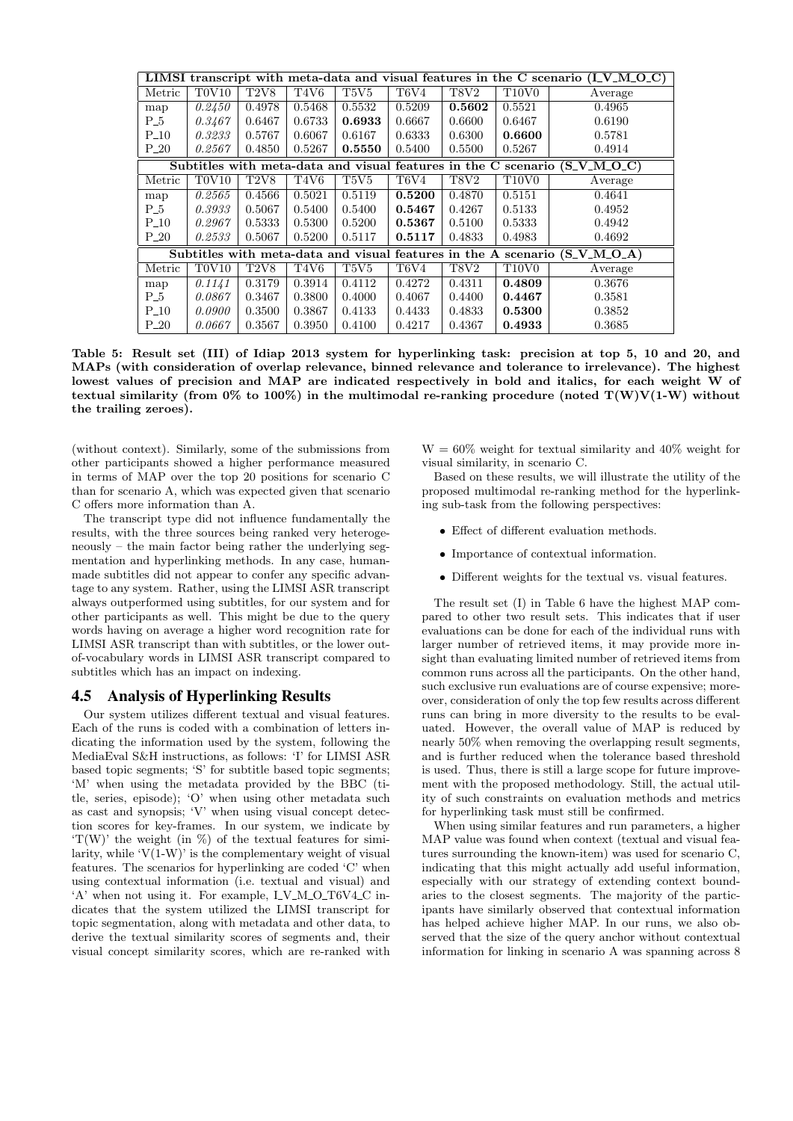| LIMSI transcript with meta-data and visual features in the C scenario $(I_V_M_O_C)$ |        |        |                               |                               |                               |             |                                |                                                                            |
|-------------------------------------------------------------------------------------|--------|--------|-------------------------------|-------------------------------|-------------------------------|-------------|--------------------------------|----------------------------------------------------------------------------|
| Metric                                                                              | TOV10  | T2V8   | T <sub>4</sub> V <sub>6</sub> | T <sub>5</sub> V <sub>5</sub> | T <sub>6</sub> V <sub>4</sub> | <b>T8V2</b> | T <sub>10</sub> V <sub>0</sub> | Average                                                                    |
| map                                                                                 | 0.2450 | 0.4978 | 0.5468                        | 0.5532                        | 0.5209                        | 0.5602      | 0.5521                         | 0.4965                                                                     |
| $P_5$                                                                               | 0.3467 | 0.6467 | 0.6733                        | 0.6933                        | 0.6667                        | 0.6600      | 0.6467                         | 0.6190                                                                     |
| $P_{-}10$                                                                           | 0.3233 | 0.5767 | 0.6067                        | 0.6167                        | 0.6333                        | 0.6300      | 0.6600                         | 0.5781                                                                     |
| $P_{-20}$                                                                           | 0.2567 | 0.4850 | 0.5267                        | 0.5550                        | 0.5400                        | 0.5500      | 0.5267                         | 0.4914                                                                     |
|                                                                                     |        |        |                               |                               |                               |             |                                | Subtitles with meta-data and visual features in the C scenario (S_V_M_O_C) |
| Metric                                                                              | TOV10  | T2V8   | T4V6                          | T5V5                          | T6V4                          | <b>T8V2</b> | T <sub>10</sub> V <sub>0</sub> | Average                                                                    |
| map                                                                                 | 0.2565 | 0.4566 | 0.5021                        | 0.5119                        | 0.5200                        | 0.4870      | 0.5151                         | 0.4641                                                                     |
| $P_5$                                                                               | 0.3933 | 0.5067 | 0.5400                        | 0.5400                        | 0.5467                        | 0.4267      | 0.5133                         | 0.4952                                                                     |
| $P_{-}10$                                                                           | 0.2967 | 0.5333 | 0.5300                        | 0.5200                        | 0.5367                        | 0.5100      | 0.5333                         | 0.4942                                                                     |
| $P_{-}20$                                                                           | 0.2533 | 0.5067 | 0.5200                        | 0.5117                        | 0.5117                        | 0.4833      | 0.4983                         | 0.4692                                                                     |
| Subtitles with meta-data and visual features in the A scenario (S_V_M_O_A)          |        |        |                               |                               |                               |             |                                |                                                                            |
| Metric                                                                              | T0V10  | T2V8   | T4V6                          | T5V5                          | T6V4                          | T8V2        | T <sub>10</sub> V <sub>0</sub> | Average                                                                    |
| map                                                                                 | 0.1141 | 0.3179 | 0.3914                        | 0.4112                        | 0.4272                        | 0.4311      | 0.4809                         | 0.3676                                                                     |
| $P_5$                                                                               | 0.0867 | 0.3467 | 0.3800                        | 0.4000                        | 0.4067                        | 0.4400      | 0.4467                         | 0.3581                                                                     |
| $P_{-}10$                                                                           | 0.0900 | 0.3500 | 0.3867                        | 0.4133                        | 0.4433                        | 0.4833      | 0.5300                         | 0.3852                                                                     |
| $P_{-}20$                                                                           | 0.0667 | 0.3567 | 0.3950                        | 0.4100                        | 0.4217                        | 0.4367      | 0.4933                         | 0.3685                                                                     |

Table 5: Result set (III) of Idiap 2013 system for hyperlinking task: precision at top 5, 10 and 20, and MAPs (with consideration of overlap relevance, binned relevance and tolerance to irrelevance). The highest lowest values of precision and MAP are indicated respectively in bold and italics, for each weight W of textual similarity (from  $0\%$  to 100%) in the multimodal re-ranking procedure (noted  $T(W)V(1-W)$  without the trailing zeroes).

(without context). Similarly, some of the submissions from other participants showed a higher performance measured in terms of MAP over the top 20 positions for scenario C than for scenario A, which was expected given that scenario C offers more information than A.

The transcript type did not influence fundamentally the results, with the three sources being ranked very heterogeneously – the main factor being rather the underlying segmentation and hyperlinking methods. In any case, humanmade subtitles did not appear to confer any specific advantage to any system. Rather, using the LIMSI ASR transcript always outperformed using subtitles, for our system and for other participants as well. This might be due to the query words having on average a higher word recognition rate for LIMSI ASR transcript than with subtitles, or the lower outof-vocabulary words in LIMSI ASR transcript compared to subtitles which has an impact on indexing.

#### 4.5 Analysis of Hyperlinking Results

Our system utilizes different textual and visual features. Each of the runs is coded with a combination of letters indicating the information used by the system, following the MediaEval S&H instructions, as follows: 'I' for LIMSI ASR based topic segments; 'S' for subtitle based topic segments; 'M' when using the metadata provided by the BBC (title, series, episode); 'O' when using other metadata such as cast and synopsis; 'V' when using visual concept detection scores for key-frames. In our system, we indicate by  $T(W)$  the weight (in  $\%$ ) of the textual features for similarity, while  $V(1-W)$  is the complementary weight of visual features. The scenarios for hyperlinking are coded 'C' when using contextual information (i.e. textual and visual) and 'A' when not using it. For example,  $I_VM_O_T6V4_C$  indicates that the system utilized the LIMSI transcript for topic segmentation, along with metadata and other data, to derive the textual similarity scores of segments and, their visual concept similarity scores, which are re-ranked with  $W = 60\%$  weight for textual similarity and 40% weight for visual similarity, in scenario C.

Based on these results, we will illustrate the utility of the proposed multimodal re-ranking method for the hyperlinking sub-task from the following perspectives:

- Effect of different evaluation methods.
- Importance of contextual information.
- Different weights for the textual vs. visual features.

The result set (I) in Table 6 have the highest MAP compared to other two result sets. This indicates that if user evaluations can be done for each of the individual runs with larger number of retrieved items, it may provide more insight than evaluating limited number of retrieved items from common runs across all the participants. On the other hand, such exclusive run evaluations are of course expensive; moreover, consideration of only the top few results across different runs can bring in more diversity to the results to be evaluated. However, the overall value of MAP is reduced by nearly 50% when removing the overlapping result segments, and is further reduced when the tolerance based threshold is used. Thus, there is still a large scope for future improvement with the proposed methodology. Still, the actual utility of such constraints on evaluation methods and metrics for hyperlinking task must still be confirmed.

When using similar features and run parameters, a higher MAP value was found when context (textual and visual features surrounding the known-item) was used for scenario C, indicating that this might actually add useful information, especially with our strategy of extending context boundaries to the closest segments. The majority of the participants have similarly observed that contextual information has helped achieve higher MAP. In our runs, we also observed that the size of the query anchor without contextual information for linking in scenario A was spanning across 8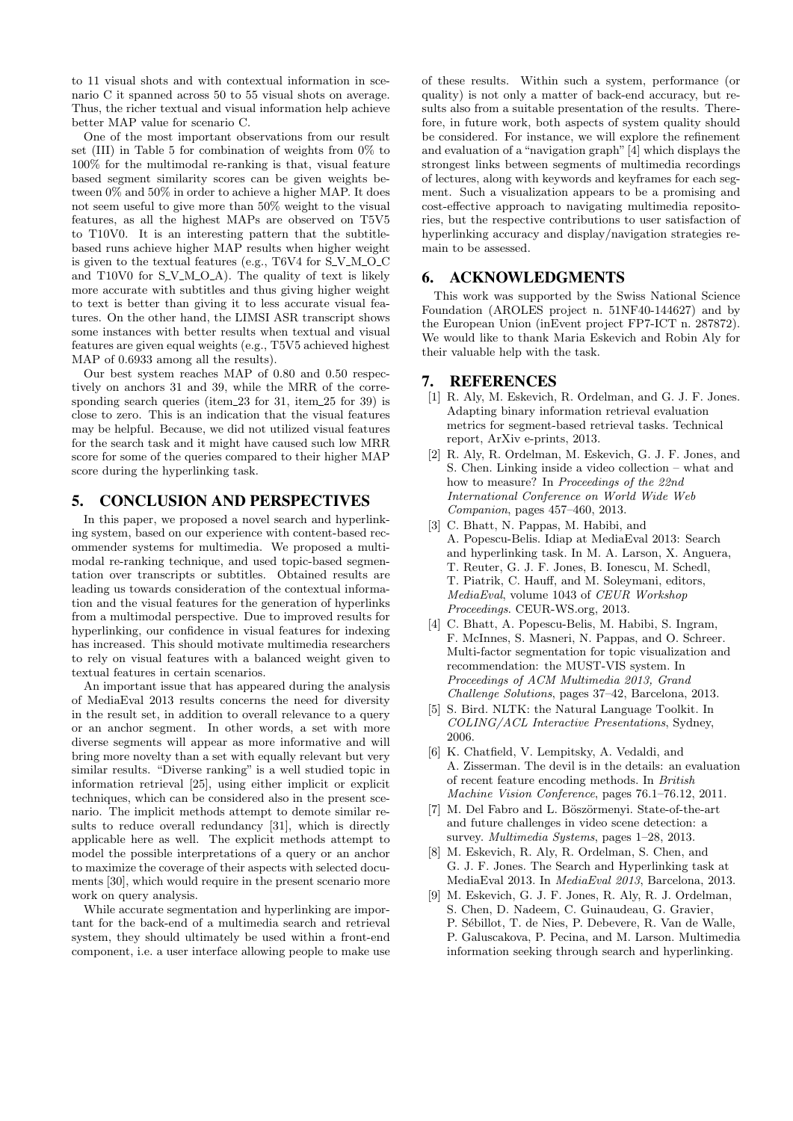to 11 visual shots and with contextual information in scenario C it spanned across 50 to 55 visual shots on average. Thus, the richer textual and visual information help achieve better MAP value for scenario C.

One of the most important observations from our result set (III) in Table 5 for combination of weights from 0% to 100% for the multimodal re-ranking is that, visual feature based segment similarity scores can be given weights between 0% and 50% in order to achieve a higher MAP. It does not seem useful to give more than 50% weight to the visual features, as all the highest MAPs are observed on T5V5 to T10V0. It is an interesting pattern that the subtitlebased runs achieve higher MAP results when higher weight is given to the textual features (e.g.,  $T6V4$  for  $S_VM_OC$ and T10V0 for  $S_V M_O A$ ). The quality of text is likely more accurate with subtitles and thus giving higher weight to text is better than giving it to less accurate visual features. On the other hand, the LIMSI ASR transcript shows some instances with better results when textual and visual features are given equal weights (e.g., T5V5 achieved highest MAP of 0.6933 among all the results).

Our best system reaches MAP of 0.80 and 0.50 respectively on anchors 31 and 39, while the MRR of the corresponding search queries (item 23 for 31, item 25 for 39) is close to zero. This is an indication that the visual features may be helpful. Because, we did not utilized visual features for the search task and it might have caused such low MRR score for some of the queries compared to their higher MAP score during the hyperlinking task.

## 5. CONCLUSION AND PERSPECTIVES

In this paper, we proposed a novel search and hyperlinking system, based on our experience with content-based recommender systems for multimedia. We proposed a multimodal re-ranking technique, and used topic-based segmentation over transcripts or subtitles. Obtained results are leading us towards consideration of the contextual information and the visual features for the generation of hyperlinks from a multimodal perspective. Due to improved results for hyperlinking, our confidence in visual features for indexing has increased. This should motivate multimedia researchers to rely on visual features with a balanced weight given to textual features in certain scenarios.

An important issue that has appeared during the analysis of MediaEval 2013 results concerns the need for diversity in the result set, in addition to overall relevance to a query or an anchor segment. In other words, a set with more diverse segments will appear as more informative and will bring more novelty than a set with equally relevant but very similar results. "Diverse ranking" is a well studied topic in information retrieval [25], using either implicit or explicit techniques, which can be considered also in the present scenario. The implicit methods attempt to demote similar results to reduce overall redundancy [31], which is directly applicable here as well. The explicit methods attempt to model the possible interpretations of a query or an anchor to maximize the coverage of their aspects with selected documents [30], which would require in the present scenario more work on query analysis.

While accurate segmentation and hyperlinking are important for the back-end of a multimedia search and retrieval system, they should ultimately be used within a front-end component, i.e. a user interface allowing people to make use of these results. Within such a system, performance (or quality) is not only a matter of back-end accuracy, but results also from a suitable presentation of the results. Therefore, in future work, both aspects of system quality should be considered. For instance, we will explore the refinement and evaluation of a "navigation graph"[4] which displays the strongest links between segments of multimedia recordings of lectures, along with keywords and keyframes for each segment. Such a visualization appears to be a promising and cost-effective approach to navigating multimedia repositories, but the respective contributions to user satisfaction of hyperlinking accuracy and display/navigation strategies remain to be assessed.

## 6. ACKNOWLEDGMENTS

This work was supported by the Swiss National Science Foundation (AROLES project n. 51NF40-144627) and by the European Union (inEvent project FP7-ICT n. 287872). We would like to thank Maria Eskevich and Robin Aly for their valuable help with the task.

## 7. REFERENCES

- [1] R. Aly, M. Eskevich, R. Ordelman, and G. J. F. Jones. Adapting binary information retrieval evaluation metrics for segment-based retrieval tasks. Technical report, ArXiv e-prints, 2013.
- [2] R. Aly, R. Ordelman, M. Eskevich, G. J. F. Jones, and S. Chen. Linking inside a video collection – what and how to measure? In Proceedings of the 22nd International Conference on World Wide Web Companion, pages 457–460, 2013.
- [3] C. Bhatt, N. Pappas, M. Habibi, and A. Popescu-Belis. Idiap at MediaEval 2013: Search and hyperlinking task. In M. A. Larson, X. Anguera, T. Reuter, G. J. F. Jones, B. Ionescu, M. Schedl, T. Piatrik, C. Hauff, and M. Soleymani, editors, MediaEval, volume 1043 of CEUR Workshop Proceedings. CEUR-WS.org, 2013.
- [4] C. Bhatt, A. Popescu-Belis, M. Habibi, S. Ingram, F. McInnes, S. Masneri, N. Pappas, and O. Schreer. Multi-factor segmentation for topic visualization and recommendation: the MUST-VIS system. In Proceedings of ACM Multimedia 2013, Grand Challenge Solutions, pages 37–42, Barcelona, 2013.
- [5] S. Bird. NLTK: the Natural Language Toolkit. In COLING/ACL Interactive Presentations, Sydney, 2006.
- [6] K. Chatfield, V. Lempitsky, A. Vedaldi, and A. Zisserman. The devil is in the details: an evaluation of recent feature encoding methods. In British Machine Vision Conference, pages 76.1–76.12, 2011.
- [7] M. Del Fabro and L. Böszörmenyi. State-of-the-art and future challenges in video scene detection: a survey. Multimedia Systems, pages 1–28, 2013.
- [8] M. Eskevich, R. Aly, R. Ordelman, S. Chen, and G. J. F. Jones. The Search and Hyperlinking task at MediaEval 2013. In MediaEval 2013, Barcelona, 2013.
- [9] M. Eskevich, G. J. F. Jones, R. Aly, R. J. Ordelman, S. Chen, D. Nadeem, C. Guinaudeau, G. Gravier, P. Sébillot, T. de Nies, P. Debevere, R. Van de Walle, P. Galuscakova, P. Pecina, and M. Larson. Multimedia information seeking through search and hyperlinking.